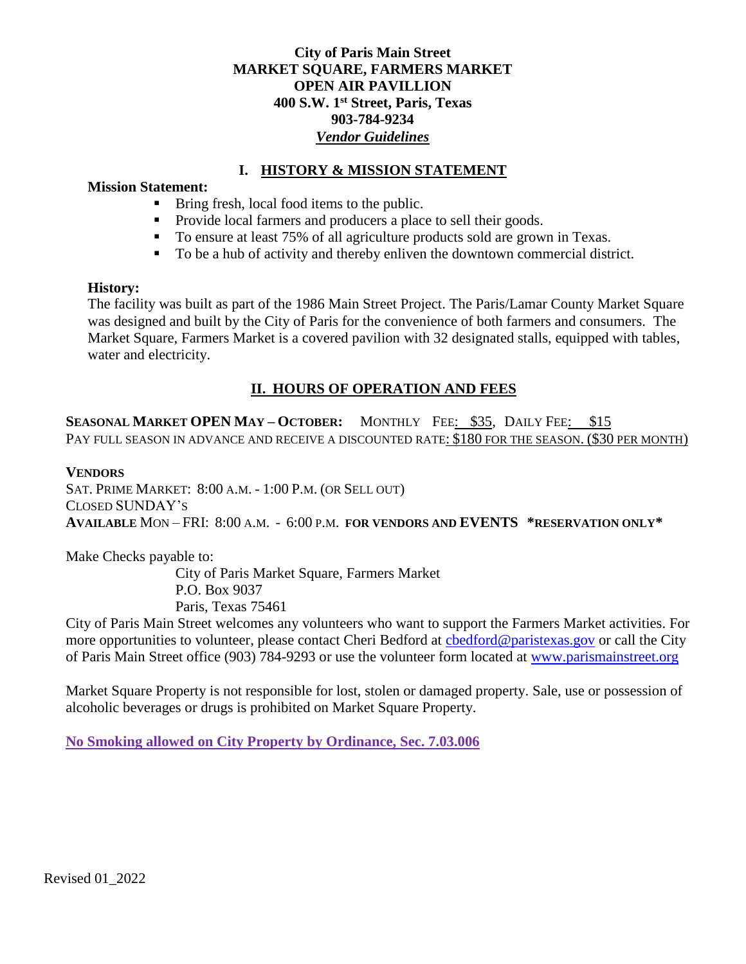### **City of Paris Main Street MARKET SQUARE, FARMERS MARKET OPEN AIR PAVILLION 400 S.W. 1st Street, Paris, Texas 903-784-9234** *Vendor Guidelines*

### **I. HISTORY & MISSION STATEMENT**

### **Mission Statement:**

- Bring fresh, local food items to the public.
- Provide local farmers and producers a place to sell their goods.
- To ensure at least 75% of all agriculture products sold are grown in Texas.
- To be a hub of activity and thereby enliven the downtown commercial district.

#### **History:**

The facility was built as part of the 1986 Main Street Project. The Paris/Lamar County Market Square was designed and built by the City of Paris for the convenience of both farmers and consumers. The Market Square, Farmers Market is a covered pavilion with 32 designated stalls, equipped with tables, water and electricity.

## **II. HOURS OF OPERATION AND FEES**

**SEASONAL MARKET OPEN MAY – OCTOBER:** MONTHLY FEE: \$35, DAILY FEE: \$15 PAY FULL SEASON IN ADVANCE AND RECEIVE A DISCOUNTED RATE: \$180 FOR THE SEASON. (\$30 PER MONTH)

#### **VENDORS**

SAT. PRIME MARKET: 8:00 A.M. - 1:00 P.M. (OR SELL OUT) CLOSED SUNDAY'S **AVAILABLE** MON – FRI: 8:00 A.M. - 6:00 P.M. **FOR VENDORS AND EVENTS \*RESERVATION ONLY\***

Make Checks payable to:

City of Paris Market Square, Farmers Market P.O. Box 9037 Paris, Texas 75461

City of Paris Main Street welcomes any volunteers who want to support the Farmers Market activities. For more opportunities to volunteer, please contact Cheri Bedford at [cbedford@paristexas.gov](mailto:cbedford@paristexas.gov) or call the City of Paris Main Street office (903) 784-9293 or use the volunteer form located at [www.parismainstreet.org](http://www.parismainstreet.org/)

Market Square Property is not responsible for lost, stolen or damaged property. Sale, use or possession of alcoholic beverages or drugs is prohibited on Market Square Property.

**No Smoking allowed on City Property by Ordinance, Sec. 7.03.006**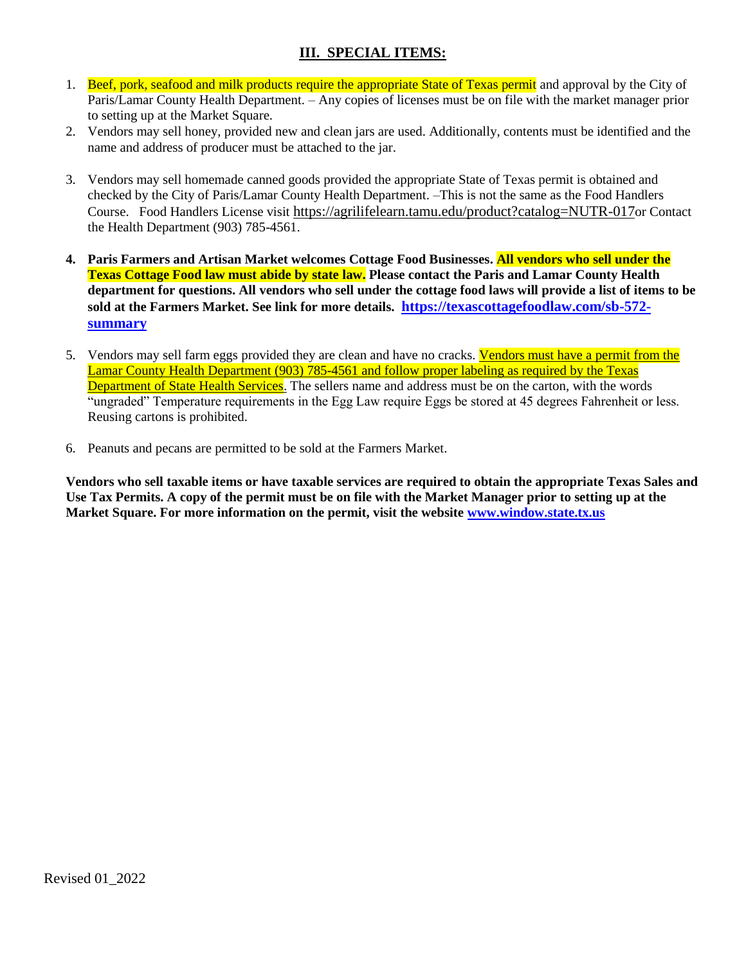# **III. SPECIAL ITEMS:**

- 1. Beef, pork, seafood and milk products require the appropriate State of Texas permit and approval by the City of Paris/Lamar County Health Department. – Any copies of licenses must be on file with the market manager prior to setting up at the Market Square.
- 2. Vendors may sell honey, provided new and clean jars are used. Additionally, contents must be identified and the name and address of producer must be attached to the jar.
- 3. Vendors may sell homemade canned goods provided the appropriate State of Texas permit is obtained and checked by the City of Paris/Lamar County Health Department. –This is not the same as the Food Handlers Course. Food Handlers License visit <https://agrilifelearn.tamu.edu/product?catalog=NUTR-017>or Contact the Health Department (903) 785-4561.
- **4. Paris Farmers and Artisan Market welcomes Cottage Food Businesses. All vendors who sell under the Texas Cottage Food law must abide by state law. Please contact the Paris and Lamar County Health department for questions. All vendors who sell under the cottage food laws will provide a list of items to be sold at the Farmers Market. See link for more details. [https://texascottagefoodlaw.com/sb-572](https://texascottagefoodlaw.com/sb-572-summary) [summary](https://texascottagefoodlaw.com/sb-572-summary)**
- 5. Vendors may sell farm eggs provided they are clean and have no cracks. Vendors must have a permit from the Lamar County Health Department (903) 785-4561 and follow proper labeling as required by the Texas Department of State Health Services. The sellers name and address must be on the carton, with the words "ungraded" Temperature requirements in the Egg Law require Eggs be stored at 45 degrees Fahrenheit or less. Reusing cartons is prohibited.
- 6. Peanuts and pecans are permitted to be sold at the Farmers Market.

**Vendors who sell taxable items or have taxable services are required to obtain the appropriate Texas Sales and Use Tax Permits. A copy of the permit must be on file with the Market Manager prior to setting up at the Market Square. For more information on the permit, visit the website [www.window.state.tx.us](http://www.window.state.tx.us/)**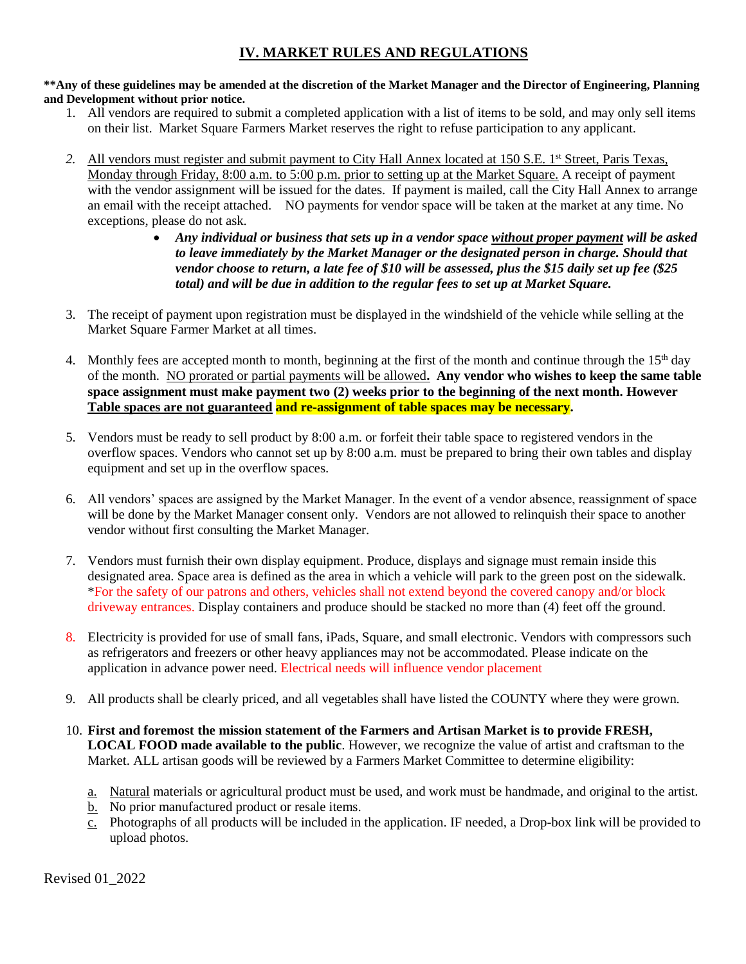## **IV. MARKET RULES AND REGULATIONS**

**\*\*Any of these guidelines may be amended at the discretion of the Market Manager and the Director of Engineering, Planning and Development without prior notice.**

- 1. All vendors are required to submit a completed application with a list of items to be sold, and may only sell items on their list. Market Square Farmers Market reserves the right to refuse participation to any applicant.
- 2. All vendors must register and submit payment to City Hall Annex located at 150 S.E. 1<sup>st</sup> Street, Paris Texas, Monday through Friday, 8:00 a.m. to 5:00 p.m. prior to setting up at the Market Square. A receipt of payment with the vendor assignment will be issued for the dates. If payment is mailed, call the City Hall Annex to arrange an email with the receipt attached. NO payments for vendor space will be taken at the market at any time. No exceptions, please do not ask.
	- *Any individual or business that sets up in a vendor space without proper payment will be asked to leave immediately by the Market Manager or the designated person in charge. Should that vendor choose to return, a late fee of \$10 will be assessed, plus the \$15 daily set up fee (\$25 total) and will be due in addition to the regular fees to set up at Market Square.*
- 3. The receipt of payment upon registration must be displayed in the windshield of the vehicle while selling at the Market Square Farmer Market at all times.
- 4. Monthly fees are accepted month to month, beginning at the first of the month and continue through the 15<sup>th</sup> day of the month. NO prorated or partial payments will be allowed**. Any vendor who wishes to keep the same table space assignment must make payment two (2) weeks prior to the beginning of the next month. However Table spaces are not guaranteed and re-assignment of table spaces may be necessary.**
- 5. Vendors must be ready to sell product by 8:00 a.m. or forfeit their table space to registered vendors in the overflow spaces. Vendors who cannot set up by 8:00 a.m. must be prepared to bring their own tables and display equipment and set up in the overflow spaces.
- 6. All vendors' spaces are assigned by the Market Manager. In the event of a vendor absence, reassignment of space will be done by the Market Manager consent only. Vendors are not allowed to relinquish their space to another vendor without first consulting the Market Manager.
- 7. Vendors must furnish their own display equipment. Produce, displays and signage must remain inside this designated area. Space area is defined as the area in which a vehicle will park to the green post on the sidewalk. \*For the safety of our patrons and others, vehicles shall not extend beyond the covered canopy and/or block driveway entrances. Display containers and produce should be stacked no more than (4) feet off the ground.
- 8. Electricity is provided for use of small fans, iPads, Square, and small electronic. Vendors with compressors such as refrigerators and freezers or other heavy appliances may not be accommodated. Please indicate on the application in advance power need. Electrical needs will influence vendor placement
- 9. All products shall be clearly priced, and all vegetables shall have listed the COUNTY where they were grown.
- 10. **First and foremost the mission statement of the Farmers and Artisan Market is to provide FRESH, LOCAL FOOD made available to the public**. However, we recognize the value of artist and craftsman to the Market. ALL artisan goods will be reviewed by a Farmers Market Committee to determine eligibility:
	- a. Natural materials or agricultural product must be used, and work must be handmade, and original to the artist.
	- b. No prior manufactured product or resale items.
	- c. Photographs of all products will be included in the application. IF needed, a Drop-box link will be provided to upload photos.

Revised 01\_2022